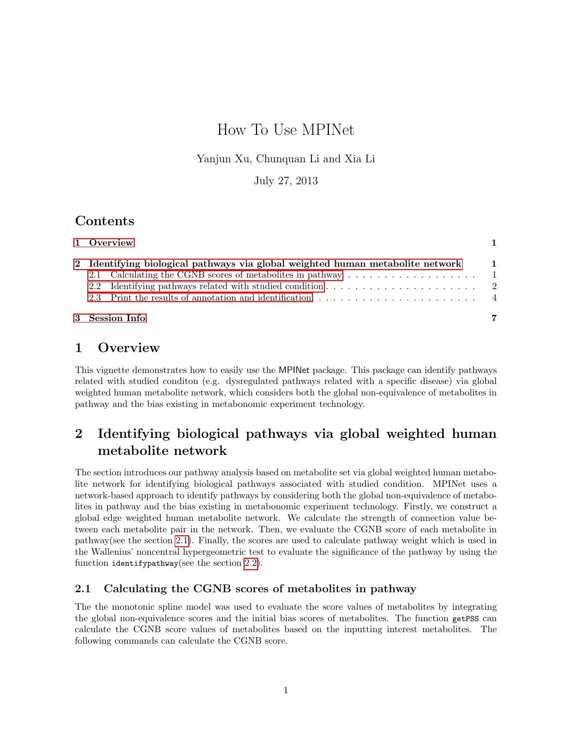# How To Use MPINet

#### Yanjun Xu, Chunquan Li and Xia Li

July 27, 2013

### Contents

| 3 Session Info                                                                   |  |
|----------------------------------------------------------------------------------|--|
|                                                                                  |  |
|                                                                                  |  |
|                                                                                  |  |
| 2 Identifying biological pathways via global weighted human metabolite network 1 |  |
| 1 Overview                                                                       |  |

## <span id="page-0-0"></span>1 Overview

This vignette demonstrates how to easily use the MPINet package. This package can identify pathways related with studied conditon (e.g. dysregulated pathways related with a specific disease) via global weighted human metabolite network, which considers both the global non-equivalence of metabolites in pathway and the bias existing in metabonomic experiment technology.

## <span id="page-0-1"></span>2 Identifying biological pathways via global weighted human metabolite network

The section introduces our pathway analysis based on metabolite set via global weighted human metabolite network for identifying biological pathways associated with studied condition. MPINet uses a network-based approach to identify pathways by considering both the global non-equivalence of metabolites in pathway and the bias existing in metabonomic experiment technology. Firstly, we construct a global edge weighted human metabolite network. We calculate the strength of connection value between each metabolite pair in the network. Then, we evaluate the CGNB score of each metabolite in pathway(see the section [2.1\)](#page-0-2). Finally, the scores are used to calculate pathway weight which is used in the Wallenius' noncentral hypergeometric test to evaluate the significance of the pathway by using the function identifypathway(see the section [2.2\)](#page-1-0).

#### <span id="page-0-2"></span>2.1 Calculating the CGNB scores of metabolites in pathway

The the monotonic spline model was used to evaluate the score values of metabolites by integrating the global non-equivalence scores and the initial bias scores of metabolites. The function getPSS can calculate the CGNB score values of metabolites based on the inputting interest metabolites. The following commands can calculate the CGNB score.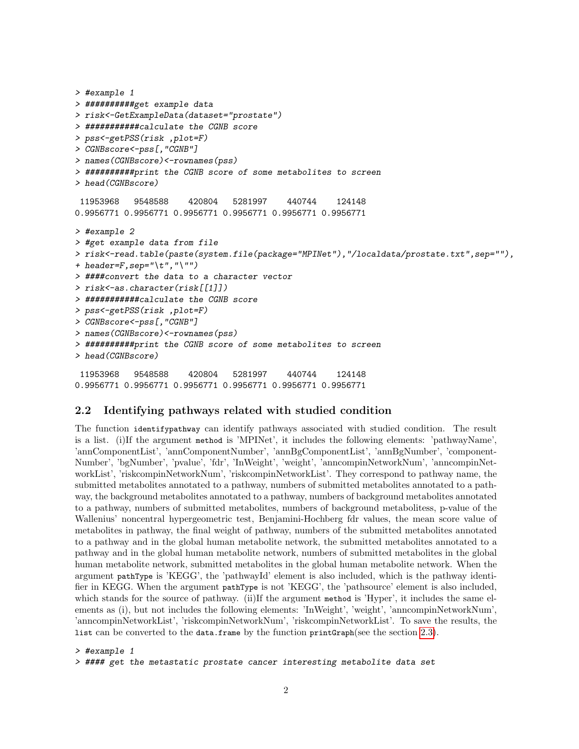```
> #example 1
> ##########get example data
> risk<-GetExampleData(dataset="prostate")
> ###########calculate the CGNB score
> pss<-getPSS(risk ,plot=F)
> CGNBscore<-pss[,"CGNB"]
> names(CGNBscore)<-rownames(pss)
> ##########print the CGNB score of some metabolites to screen
> head(CGNBscore)
 11953968 9548588 420804 5281997 440744 124148
0.9956771 0.9956771 0.9956771 0.9956771 0.9956771 0.9956771
> #example 2
> #get example data from file
> risk<-read.table(paste(system.file(package="MPINet"),"/localdata/prostate.txt",sep=""),
+ header=F, sep="\setminus t", "\setminus"")
> ####convert the data to a character vector
> risk<-as.character(risk[[1]])
> ###########calculate the CGNB score
> pss<-getPSS(risk ,plot=F)
> CGNBscore<-pss[,"CGNB"]
> names(CGNBscore)<-rownames(pss)
> ##########print the CGNB score of some metabolites to screen
> head(CGNBscore)
 11953968 9548588 420804 5281997 440744 124148
0.9956771 0.9956771 0.9956771 0.9956771 0.9956771 0.9956771
```
#### <span id="page-1-0"></span>2.2 Identifying pathways related with studied condition

The function identifypathway can identify pathways associated with studied condition. The result is a list. (i)If the argument method is 'MPINet', it includes the following elements: 'pathwayName', 'annComponentList', 'annComponentNumber', 'annBgComponentList', 'annBgNumber', 'component-Number', 'bgNumber', 'pvalue', 'fdr', 'InWeight', 'weight', 'anncompinNetworkNum', 'anncompinNetworkList', 'riskcompinNetworkNum', 'riskcompinNetworkList'. They correspond to pathway name, the submitted metabolites annotated to a pathway, numbers of submitted metabolites annotated to a pathway, the background metabolites annotated to a pathway, numbers of background metabolites annotated to a pathway, numbers of submitted metabolites, numbers of background metabolitess, p-value of the Wallenius' noncentral hypergeometric test, Benjamini-Hochberg fdr values, the mean score value of metabolites in pathway, the final weight of pathway, numbers of the submitted metabolites annotated to a pathway and in the global human metabolite network, the submitted metabolites annotated to a pathway and in the global human metabolite network, numbers of submitted metabolites in the global human metabolite network, submitted metabolites in the global human metabolite network. When the argument pathType is 'KEGG', the 'pathwayId' element is also included, which is the pathway identifier in KEGG. When the argument pathType is not 'KEGG', the 'pathsource' element is also included, which stands for the source of pathway. (ii)If the argument method is 'Hyper', it includes the same elements as (i), but not includes the following elements: 'InWeight', 'weight', 'anncompinNetworkNum', 'anncompinNetworkList', 'riskcompinNetworkNum', 'riskcompinNetworkList'. To save the results, the list can be converted to the data.frame by the function printGraph(see the section [2.3\)](#page-3-0).

```
> #example 1
> #### get the metastatic prostate cancer interesting metabolite data set
```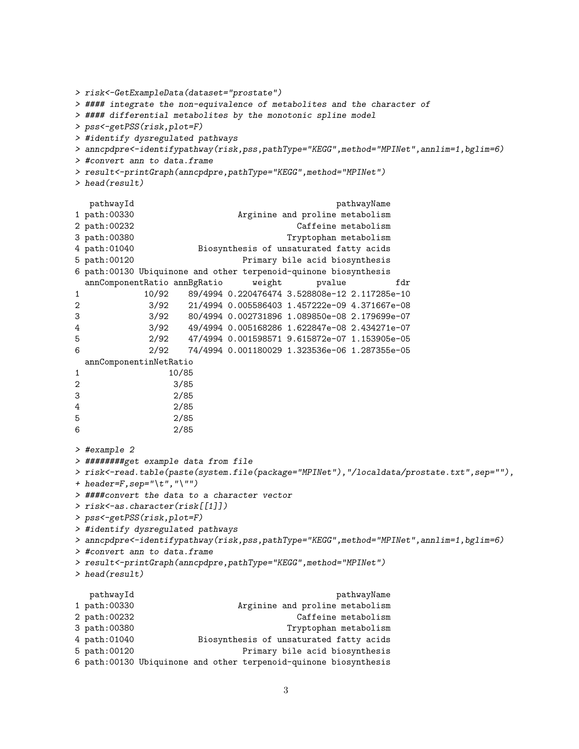```
> risk<-GetExampleData(dataset="prostate")
> #### integrate the non-equivalence of metabolites and the character of
> #### differential metabolites by the monotonic spline model
> pss<-getPSS(risk,plot=F)
> #identify dysregulated pathways
> anncpdpre<-identifypathway(risk,pss,pathType="KEGG",method="MPINet",annlim=1,bglim=6)
> #convert ann to data.frame
> result<-printGraph(anncpdpre,pathType="KEGG",method="MPINet")
> head(result)
  pathwayId pathwayName
1 path:00330 Arginine and proline metabolism
2 path:00232 Caffeine metabolism
3 path:00380 Tryptophan metabolism
4 path:01040 Biosynthesis of unsaturated fatty acids
5 path:00120 Primary bile acid biosynthesis
6 path:00130 Ubiquinone and other terpenoid-quinone biosynthesis
 annComponentRatio annBgRatio weight pvalue fdr
1 10/92 89/4994 0.220476474 3.528808e-12 2.117285e-10
2 3/92 21/4994 0.005586403 1.457222e-09 4.371667e-08
3 3/92 80/4994 0.002731896 1.089850e-08 2.179699e-07
4 3/92 49/4994 0.005168286 1.622847e-08 2.434271e-07
5 2/92 47/4994 0.001598571 9.615872e-07 1.153905e-05
6 2/92 74/4994 0.001180029 1.323536e-06 1.287355e-05
 annComponentinNetRatio
1 10/85
2 3/85
3 2/85
4 2/85
5 2/85
6 2/85
> #example 2
> ########get example data from file
> risk<-read.table(paste(system.file(package="MPINet"),"/localdata/prostate.txt",sep=""),
+ header=F, sep="\t", "\"")
> ####convert the data to a character vector
> risk<-as.character(risk[[1]])
> pss<-getPSS(risk,plot=F)
> #identify dysregulated pathways
> anncpdpre<-identifypathway(risk,pss,pathType="KEGG",method="MPINet",annlim=1,bglim=6)
> #convert ann to data.frame
> result<-printGraph(anncpdpre,pathType="KEGG",method="MPINet")
> head(result)
  pathwayId pathwayName
1 path:00330 Arginine and proline metabolism
2 path:00232 Caffeine metabolism
3 path:00380 Tryptophan metabolism
4 path:01040 Biosynthesis of unsaturated fatty acids
5 path:00120 Primary bile acid biosynthesis
```

```
6 path:00130 Ubiquinone and other terpenoid-quinone biosynthesis
```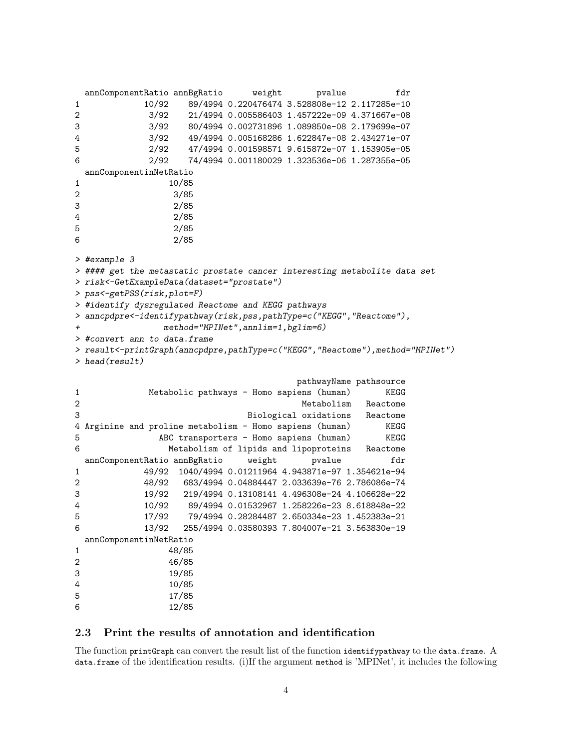```
annComponentRatio annBgRatio weight pvalue fdr
1 10/92 89/4994 0.220476474 3.528808e-12 2.117285e-10
2 3/92 21/4994 0.005586403 1.457222e-09 4.371667e-08
3 3/92 80/4994 0.002731896 1.089850e-08 2.179699e-07
4 3/92 49/4994 0.005168286 1.622847e-08 2.434271e-07
5 2/92 47/4994 0.001598571 9.615872e-07 1.153905e-05
6 2/92 74/4994 0.001180029 1.323536e-06 1.287355e-05
 annComponentinNetRatio
1 10/85
2 3/85
3 2/85
4 2/85
5 2/85
6 2/85
> #example 3
> #### get the metastatic prostate cancer interesting metabolite data set
> risk<-GetExampleData(dataset="prostate")
> pss<-getPSS(risk,plot=F)
> #identify dysregulated Reactome and KEGG pathways
> anncpdpre<-identifypathway(risk,pss,pathType=c("KEGG","Reactome"),
             method="MPINet", annlim=1, bglim=6)
> #convert ann to data.frame
> result<-printGraph(anncpdpre,pathType=c("KEGG","Reactome"),method="MPINet")
> head(result)
                                 pathwayName pathsource
1 Metabolic pathways - Homo sapiens (human) KEGG
2 and 2 Metabolism Reactome
3 Biological oxidations Reactome
4 Arginine and proline metabolism - Homo sapiens (human) KEGG
5 ABC transporters - Homo sapiens (human) KEGG
6 Metabolism of lipids and lipoproteins Reactome
 annComponentRatio annBgRatio weight pvalue fdr
1 49/92 1040/4994 0.01211964 4.943871e-97 1.354621e-94
2 48/92 683/4994 0.04884447 2.033639e-76 2.786086e-74
3 19/92 219/4994 0.13108141 4.496308e-24 4.106628e-22
4 10/92 89/4994 0.01532967 1.258226e-23 8.618848e-22
5 17/92 79/4994 0.28284487 2.650334e-23 1.452383e-21
6 13/92 255/4994 0.03580393 7.804007e-21 3.563830e-19
 annComponentinNetRatio
1 48/85
2 46/85
3 19/85
4 10/85
5 17/85
6 12/85
```
#### <span id="page-3-0"></span>2.3 Print the results of annotation and identification

The function printGraph can convert the result list of the function identifypathway to the data.frame. A data.frame of the identification results. (i)If the argument method is 'MPINet', it includes the following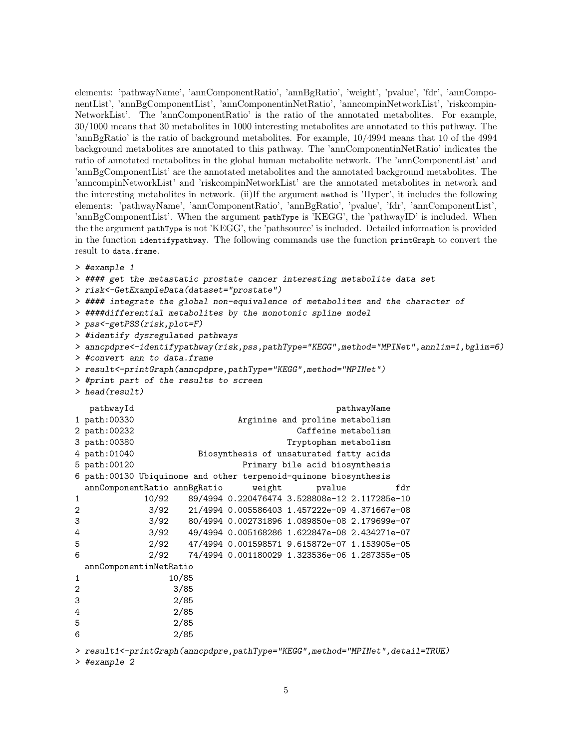elements: 'pathwayName', 'annComponentRatio', 'annBgRatio', 'weight', 'pvalue', 'fdr', 'annComponentList', 'annBgComponentList', 'annComponentinNetRatio', 'anncompinNetworkList', 'riskcompin-NetworkList'. The 'annComponentRatio' is the ratio of the annotated metabolites. For example, 30/1000 means that 30 metabolites in 1000 interesting metabolites are annotated to this pathway. The 'annBgRatio' is the ratio of background metabolites. For example, 10/4994 means that 10 of the 4994 background metabolites are annotated to this pathway. The 'annComponentinNetRatio' indicates the ratio of annotated metabolites in the global human metabolite network. The 'annComponentList' and 'annBgComponentList' are the annotated metabolites and the annotated background metabolites. The 'anncompinNetworkList' and 'riskcompinNetworkList' are the annotated metabolites in network and the interesting metabolites in network. (ii)If the argument method is 'Hyper', it includes the following elements: 'pathwayName', 'annComponentRatio', 'annBgRatio', 'pvalue', 'fdr', 'annComponentList', 'annBgComponentList'. When the argument pathType is 'KEGG', the 'pathwayID' is included. When the the argument pathType is not 'KEGG', the 'pathsource' is included. Detailed information is provided in the function identifypathway. The following commands use the function printGraph to convert the result to data.frame.

```
> #example 1
```

```
> #### get the metastatic prostate cancer interesting metabolite data set
> risk<-GetExampleData(dataset="prostate")
> #### integrate the global non-equivalence of metabolites and the character of
> ####differential metabolites by the monotonic spline model
> pss<-getPSS(risk,plot=F)
> #identify dysregulated pathways
> anncpdpre<-identifypathway(risk,pss,pathType="KEGG",method="MPINet",annlim=1,bglim=6)
> #convert ann to data.frame
> result<-printGraph(anncpdpre,pathType="KEGG",method="MPINet")
> #print part of the results to screen
> head(result)
  pathwayId pathwayName
1 path:00330 Arginine and proline metabolism
2 path:00232 Caffeine metabolism
3 path:00380 Tryptophan metabolism
4 path:01040 Biosynthesis of unsaturated fatty acids
5 path:00120 Primary bile acid biosynthesis
6 path:00130 Ubiquinone and other terpenoid-quinone biosynthesis
 annComponentRatio annBgRatio weight pvalue fdr
1 10/92 89/4994 0.220476474 3.528808e-12 2.117285e-10
2 3/92 21/4994 0.005586403 1.457222e-09 4.371667e-08
3 3/92 80/4994 0.002731896 1.089850e-08 2.179699e-07
4 3/92 49/4994 0.005168286 1.622847e-08 2.434271e-07
5 2/92 47/4994 0.001598571 9.615872e-07 1.153905e-05
6 2/92 74/4994 0.001180029 1.323536e-06 1.287355e-05
 annComponentinNetRatio
1 10/85
2 3/85
3 2/85
4 2/85
5 2/85
6 2/85
> result1<-printGraph(anncpdpre,pathType="KEGG",method="MPINet",detail=TRUE)
```
> #example 2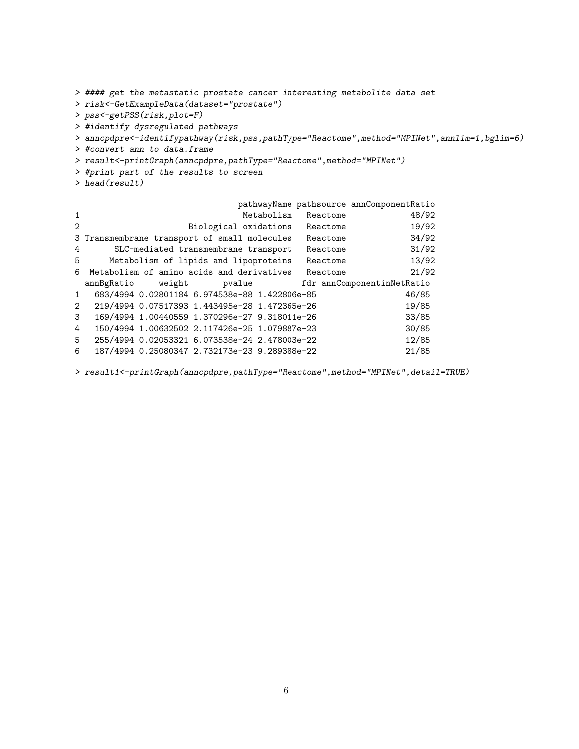```
> #### get the metastatic prostate cancer interesting metabolite data set
> risk<-GetExampleData(dataset="prostate")
> pss<-getPSS(risk,plot=F)
> #identify dysregulated pathways
> anncpdpre<-identifypathway(risk,pss,pathType="Reactome",method="MPINet",annlim=1,bglim=6)
> #convert ann to data.frame
> result<-printGraph(anncpdpre,pathType="Reactome",method="MPINet")
> #print part of the results to screen
> head(result)
                           pathwayName pathsource annComponentRatio
1 Metabolism Reactome 48/92
2 Biological oxidations Reactome 19/92
3 Transmembrane transport of small molecules Reactome 34/92
4 SLC-mediated transmembrane transport Reactome 31/92
5 Metabolism of lipids and lipoproteins Reactome 13/92
6 Metabolism of amino acids and derivatives Reactome 21/92
 annBgRatio weight pvalue fdr annComponentinNetRatio
```
1 683/4994 0.02801184 6.974538e-88 1.422806e-85 46/85 2 219/4994 0.07517393 1.443495e-28 1.472365e-26 19/85 3 169/4994 1.00440559 1.370296e-27 9.318011e-26 33/85 4 150/4994 1.00632502 2.117426e-25 1.079887e-23 30/85 5 255/4994 0.02053321 6.073538e-24 2.478003e-22 12/85 6 187/4994 0.25080347 2.732173e-23 9.289388e-22 21/85

> result1<-printGraph(anncpdpre,pathType="Reactome",method="MPINet",detail=TRUE)

6